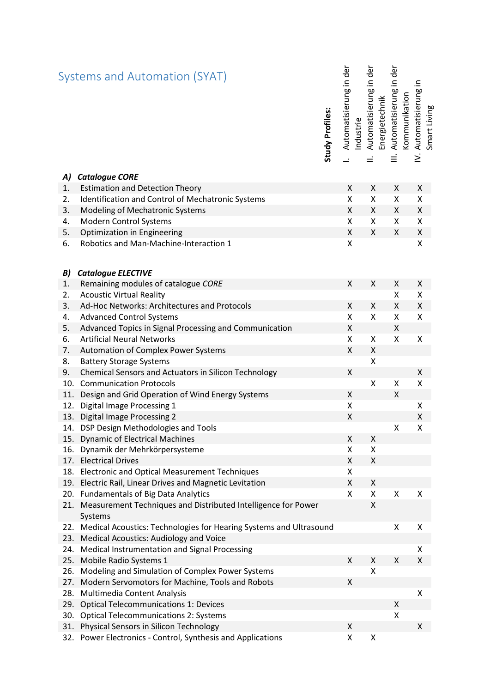|     | Systems and Automation (SYAT)                                                | Study Profiles: | Automatisierung in der | Automatisierung in der<br>Industrie | Energietechnik | Automatisierung in der<br>$\equiv$ | Automatisierung in<br>Kommunikation<br>≥́ | Smart Living |
|-----|------------------------------------------------------------------------------|-----------------|------------------------|-------------------------------------|----------------|------------------------------------|-------------------------------------------|--------------|
| A)  | <b>Catalogue CORE</b>                                                        |                 |                        |                                     |                |                                    |                                           |              |
| 1.  | <b>Estimation and Detection Theory</b>                                       |                 | X                      | Χ                                   |                | X                                  | X                                         |              |
| 2.  | Identification and Control of Mechatronic Systems                            |                 | $\pmb{\mathsf{X}}$     | Χ                                   |                | $\pmb{\mathsf{X}}$                 | Χ                                         |              |
| 3.  | Modeling of Mechatronic Systems                                              |                 | X                      | Χ                                   |                | $\pmb{\chi}$                       | X                                         |              |
| 4.  | <b>Modern Control Systems</b>                                                |                 | Χ                      | X                                   |                | X                                  | Χ                                         |              |
| 5.  | Optimization in Engineering                                                  |                 | Χ                      | X                                   |                | X                                  | $\pmb{\mathsf{X}}$                        |              |
| 6.  | Robotics and Man-Machine-Interaction 1                                       |                 | $\pmb{\mathsf{X}}$     |                                     |                |                                    | Χ                                         |              |
| B)  | <b>Catalogue ELECTIVE</b>                                                    |                 |                        |                                     |                |                                    |                                           |              |
| 1.  | Remaining modules of catalogue CORE                                          |                 | X                      | Χ                                   |                | X                                  | X                                         |              |
| 2.  | <b>Acoustic Virtual Reality</b>                                              |                 |                        |                                     |                | X                                  | Χ                                         |              |
| 3.  | Ad-Hoc Networks: Architectures and Protocols                                 |                 | X                      | X                                   |                | X                                  | Χ                                         |              |
| 4.  | <b>Advanced Control Systems</b>                                              |                 | X                      | Χ                                   |                | $\pmb{\mathsf{X}}$                 | $\pmb{\mathsf{X}}$                        |              |
| 5.  | Advanced Topics in Signal Processing and Communication                       |                 | Χ                      |                                     |                | $\pmb{\mathsf{X}}$                 |                                           |              |
| 6.  | <b>Artificial Neural Networks</b>                                            |                 | Χ                      | X                                   |                | $\pmb{\mathsf{X}}$                 | X                                         |              |
| 7.  | Automation of Complex Power Systems                                          |                 | X                      | Χ                                   |                |                                    |                                           |              |
| 8.  | <b>Battery Storage Systems</b>                                               |                 |                        | $\pmb{\mathsf{X}}$                  |                |                                    |                                           |              |
| 9.  | <b>Chemical Sensors and Actuators in Silicon Technology</b>                  |                 | X                      |                                     |                |                                    | X                                         |              |
| 10. | <b>Communication Protocols</b>                                               |                 |                        | X                                   |                | X                                  | X                                         |              |
| 11. | Design and Grid Operation of Wind Energy Systems                             |                 | X                      |                                     |                | X                                  |                                           |              |
| 12. | Digital Image Processing 1                                                   |                 | Χ                      |                                     |                |                                    | Χ                                         |              |
|     | 13. Digital Image Processing 2                                               |                 | $\pmb{\mathsf{X}}$     |                                     |                |                                    | $\pmb{\mathsf{X}}$                        |              |
| 14. | DSP Design Methodologies and Tools                                           |                 |                        |                                     |                | X                                  | Χ                                         |              |
|     | 15. Dynamic of Electrical Machines                                           |                 | Χ                      | Χ                                   |                |                                    |                                           |              |
| 16. | Dynamik der Mehrkörpersysteme                                                |                 | X                      | Χ                                   |                |                                    |                                           |              |
| 17. | <b>Electrical Drives</b>                                                     |                 | X                      | X                                   |                |                                    |                                           |              |
| 18. | <b>Electronic and Optical Measurement Techniques</b>                         |                 | x                      |                                     |                |                                    |                                           |              |
| 19. | Electric Rail, Linear Drives and Magnetic Levitation                         |                 | X                      | X                                   |                |                                    |                                           |              |
| 20. | <b>Fundamentals of Big Data Analytics</b>                                    |                 | X                      | Χ                                   |                | X                                  | Χ                                         |              |
|     | 21. Measurement Techniques and Distributed Intelligence for Power<br>Systems |                 |                        | X                                   |                |                                    |                                           |              |
|     | 22. Medical Acoustics: Technologies for Hearing Systems and Ultrasound       |                 |                        |                                     |                | Χ                                  | X                                         |              |
| 23. | Medical Acoustics: Audiology and Voice                                       |                 |                        |                                     |                |                                    |                                           |              |
|     | 24. Medical Instrumentation and Signal Processing                            |                 |                        |                                     |                |                                    | Χ                                         |              |
| 25. | Mobile Radio Systems 1                                                       |                 | Χ                      | Χ                                   |                | X                                  | Χ                                         |              |
| 26. | Modeling and Simulation of Complex Power Systems                             |                 |                        | Χ                                   |                |                                    |                                           |              |
| 27. | Modern Servomotors for Machine, Tools and Robots                             |                 | Χ                      |                                     |                |                                    |                                           |              |
| 28. | Multimedia Content Analysis                                                  |                 |                        |                                     |                |                                    | $\pmb{\mathsf{X}}$                        |              |
| 29. | <b>Optical Telecommunications 1: Devices</b>                                 |                 |                        |                                     |                | X                                  |                                           |              |
| 30. | <b>Optical Telecommunications 2: Systems</b>                                 |                 |                        |                                     |                | Χ                                  |                                           |              |
| 31. | Physical Sensors in Silicon Technology                                       |                 | X                      |                                     |                |                                    | X                                         |              |
| 32. | Power Electronics - Control, Synthesis and Applications                      |                 | X                      | Χ                                   |                |                                    |                                           |              |